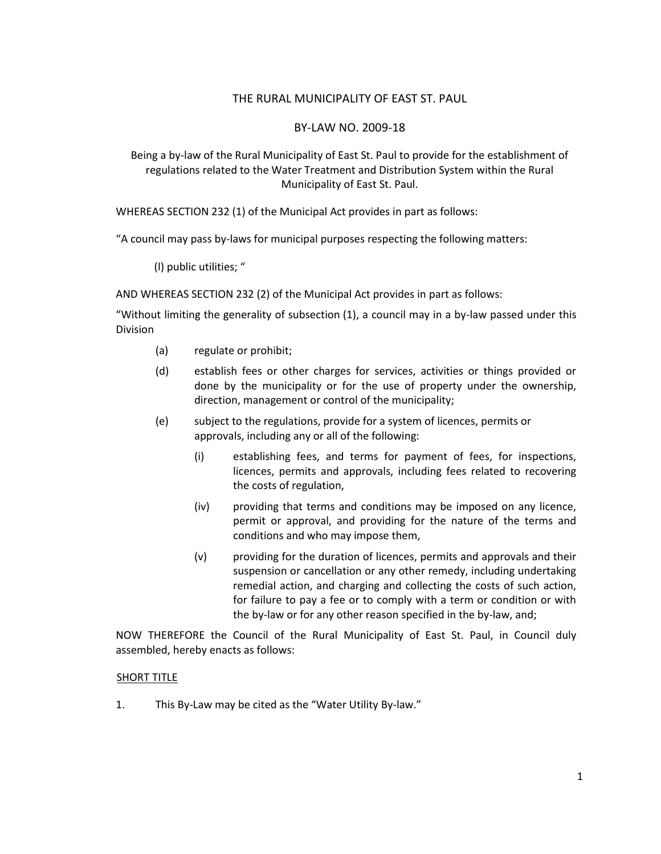# THE RURAL MUNICIPALITY OF EAST ST. PAUL

## BY-LAW NO. 2009-18

Being a by-law of the Rural Municipality of East St. Paul to provide for the establishment of regulations related to the Water Treatment and Distribution System within the Rural Municipality of East St. Paul.

WHEREAS SECTION 232 (1) of the Municipal Act provides in part as follows:

"A council may pass by-laws for municipal purposes respecting the following matters:

(l) public utilities; "

AND WHEREAS SECTION 232 (2) of the Municipal Act provides in part as follows:

"Without limiting the generality of subsection (1), a council may in a by-law passed under this Division

- (a) regulate or prohibit;
- (d) establish fees or other charges for services, activities or things provided or done by the municipality or for the use of property under the ownership, direction, management or control of the municipality;
- (e) subject to the regulations, provide for a system of licences, permits or approvals, including any or all of the following:
	- (i) establishing fees, and terms for payment of fees, for inspections, licences, permits and approvals, including fees related to recovering the costs of regulation,
	- (iv) providing that terms and conditions may be imposed on any licence, permit or approval, and providing for the nature of the terms and conditions and who may impose them,
	- (v) providing for the duration of licences, permits and approvals and their suspension or cancellation or any other remedy, including undertaking remedial action, and charging and collecting the costs of such action, for failure to pay a fee or to comply with a term or condition or with the by-law or for any other reason specified in the by-law, and;

NOW THEREFORE the Council of the Rural Municipality of East St. Paul, in Council duly assembled, hereby enacts as follows:

#### SHORT TITLE

1. This By-Law may be cited as the "Water Utility By-law."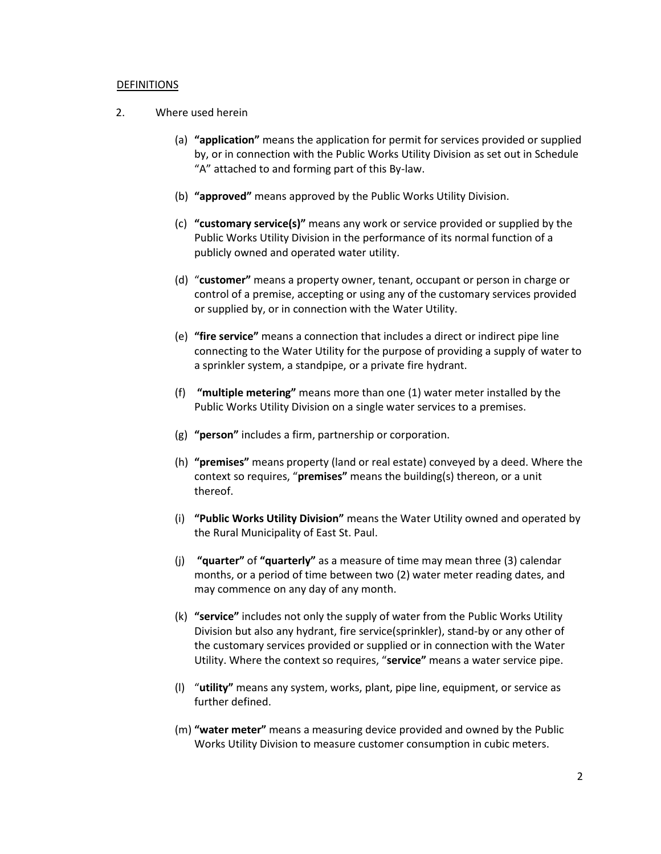#### **DEFINITIONS**

- 2. Where used herein
	- (a) **"application"** means the application for permit for services provided or supplied by, or in connection with the Public Works Utility Division as set out in Schedule "A" attached to and forming part of this By-law.
	- (b) **"approved"** means approved by the Public Works Utility Division.
	- (c) **"customary service(s)"** means any work or service provided or supplied by the Public Works Utility Division in the performance of its normal function of a publicly owned and operated water utility.
	- (d) "**customer"** means a property owner, tenant, occupant or person in charge or control of a premise, accepting or using any of the customary services provided or supplied by, or in connection with the Water Utility.
	- (e) **"fire service"** means a connection that includes a direct or indirect pipe line connecting to the Water Utility for the purpose of providing a supply of water to a sprinkler system, a standpipe, or a private fire hydrant.
	- (f) **"multiple metering"** means more than one (1) water meter installed by the Public Works Utility Division on a single water services to a premises.
	- (g) **"person"** includes a firm, partnership or corporation.
	- (h) **"premises"** means property (land or real estate) conveyed by a deed. Where the context so requires, "**premises"** means the building(s) thereon, or a unit thereof.
	- (i) **"Public Works Utility Division"** means the Water Utility owned and operated by the Rural Municipality of East St. Paul.
	- (j) **"quarter"** of **"quarterly"** as a measure of time may mean three (3) calendar months, or a period of time between two (2) water meter reading dates, and may commence on any day of any month.
	- (k) **"service"** includes not only the supply of water from the Public Works Utility Division but also any hydrant, fire service(sprinkler), stand-by or any other of the customary services provided or supplied or in connection with the Water Utility. Where the context so requires, "**service"** means a water service pipe.
	- (l) "**utility"** means any system, works, plant, pipe line, equipment, or service as further defined.
	- (m) **"water meter"** means a measuring device provided and owned by the Public Works Utility Division to measure customer consumption in cubic meters.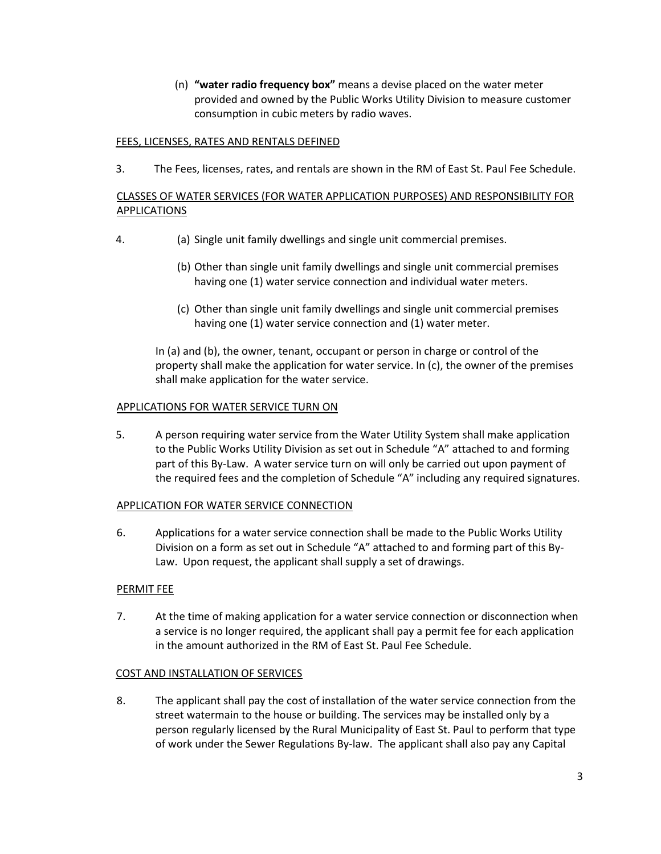(n) **"water radio frequency box"** means a devise placed on the water meter provided and owned by the Public Works Utility Division to measure customer consumption in cubic meters by radio waves.

# FEES, LICENSES, RATES AND RENTALS DEFINED

3. The Fees, licenses, rates, and rentals are shown in the RM of East St. Paul Fee Schedule.

# CLASSES OF WATER SERVICES (FOR WATER APPLICATION PURPOSES) AND RESPONSIBILITY FOR APPLICATIONS

- 4. (a) Single unit family dwellings and single unit commercial premises.
	- (b) Other than single unit family dwellings and single unit commercial premises having one (1) water service connection and individual water meters.
	- (c) Other than single unit family dwellings and single unit commercial premises having one (1) water service connection and (1) water meter.

In (a) and (b), the owner, tenant, occupant or person in charge or control of the property shall make the application for water service. In (c), the owner of the premises shall make application for the water service.

# APPLICATIONS FOR WATER SERVICE TURN ON

5. A person requiring water service from the Water Utility System shall make application to the Public Works Utility Division as set out in Schedule "A" attached to and forming part of this By-Law. A water service turn on will only be carried out upon payment of the required fees and the completion of Schedule "A" including any required signatures.

# APPLICATION FOR WATER SERVICE CONNECTION

6. Applications for a water service connection shall be made to the Public Works Utility Division on a form as set out in Schedule "A" attached to and forming part of this By-Law. Upon request, the applicant shall supply a set of drawings.

# PERMIT FEE

7. At the time of making application for a water service connection or disconnection when a service is no longer required, the applicant shall pay a permit fee for each application in the amount authorized in the RM of East St. Paul Fee Schedule.

# COST AND INSTALLATION OF SERVICES

8. The applicant shall pay the cost of installation of the water service connection from the street watermain to the house or building. The services may be installed only by a person regularly licensed by the Rural Municipality of East St. Paul to perform that type of work under the Sewer Regulations By-law. The applicant shall also pay any Capital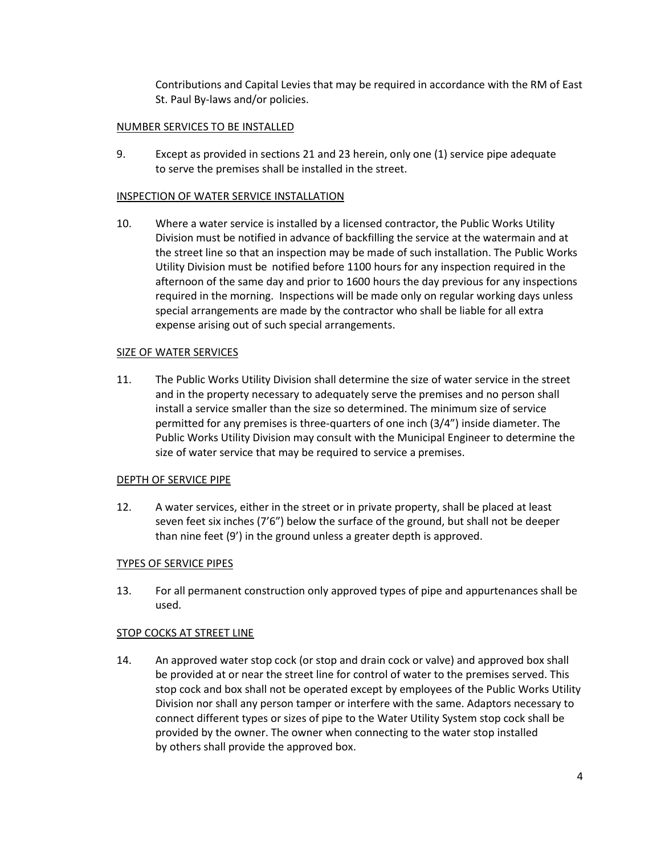Contributions and Capital Levies that may be required in accordance with the RM of East St. Paul By-laws and/or policies.

## NUMBER SERVICES TO BE INSTALLED

9. Except as provided in sections 21 and 23 herein, only one (1) service pipe adequate to serve the premises shall be installed in the street.

### INSPECTION OF WATER SERVICE INSTALLATION

10. Where a water service is installed by a licensed contractor, the Public Works Utility Division must be notified in advance of backfilling the service at the watermain and at the street line so that an inspection may be made of such installation. The Public Works Utility Division must be notified before 1100 hours for any inspection required in the afternoon of the same day and prior to 1600 hours the day previous for any inspections required in the morning. Inspections will be made only on regular working days unless special arrangements are made by the contractor who shall be liable for all extra expense arising out of such special arrangements.

### SIZE OF WATER SERVICES

11. The Public Works Utility Division shall determine the size of water service in the street and in the property necessary to adequately serve the premises and no person shall install a service smaller than the size so determined. The minimum size of service permitted for any premises is three-quarters of one inch (3/4") inside diameter. The Public Works Utility Division may consult with the Municipal Engineer to determine the size of water service that may be required to service a premises.

#### DEPTH OF SERVICE PIPE

12. A water services, either in the street or in private property, shall be placed at least seven feet six inches (7'6") below the surface of the ground, but shall not be deeper than nine feet (9') in the ground unless a greater depth is approved.

# TYPES OF SERVICE PIPES

13. For all permanent construction only approved types of pipe and appurtenances shall be used.

#### STOP COCKS AT STREET LINE

14. An approved water stop cock (or stop and drain cock or valve) and approved box shall be provided at or near the street line for control of water to the premises served. This stop cock and box shall not be operated except by employees of the Public Works Utility Division nor shall any person tamper or interfere with the same. Adaptors necessary to connect different types or sizes of pipe to the Water Utility System stop cock shall be provided by the owner. The owner when connecting to the water stop installed by others shall provide the approved box.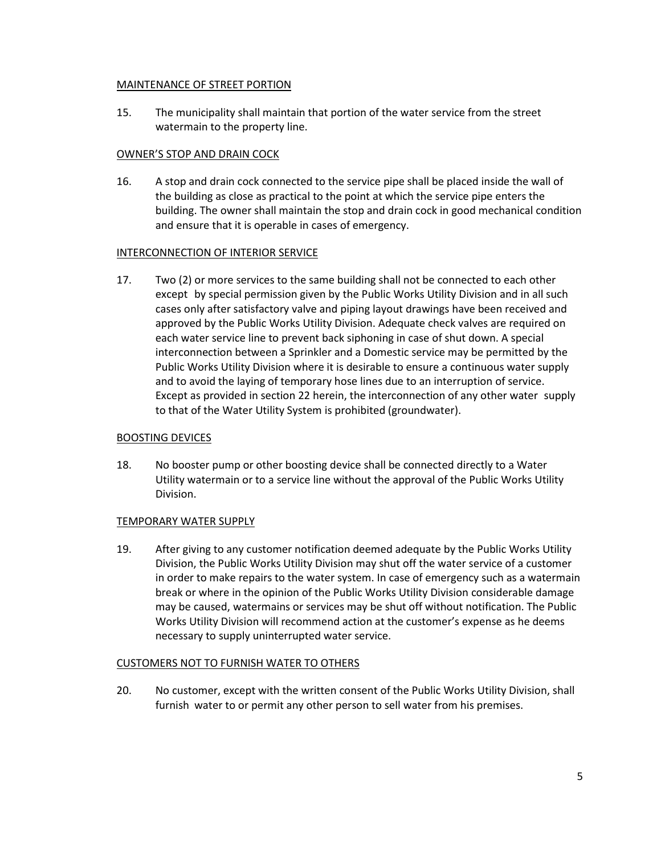# MAINTENANCE OF STREET PORTION

15. The municipality shall maintain that portion of the water service from the street watermain to the property line.

# OWNER'S STOP AND DRAIN COCK

16. A stop and drain cock connected to the service pipe shall be placed inside the wall of the building as close as practical to the point at which the service pipe enters the building. The owner shall maintain the stop and drain cock in good mechanical condition and ensure that it is operable in cases of emergency.

# INTERCONNECTION OF INTERIOR SERVICE

17. Two (2) or more services to the same building shall not be connected to each other except by special permission given by the Public Works Utility Division and in all such cases only after satisfactory valve and piping layout drawings have been received and approved by the Public Works Utility Division. Adequate check valves are required on each water service line to prevent back siphoning in case of shut down. A special interconnection between a Sprinkler and a Domestic service may be permitted by the Public Works Utility Division where it is desirable to ensure a continuous water supply and to avoid the laying of temporary hose lines due to an interruption of service. Except as provided in section 22 herein, the interconnection of any other water supply to that of the Water Utility System is prohibited (groundwater).

# BOOSTING DEVICES

18. No booster pump or other boosting device shall be connected directly to a Water Utility watermain or to a service line without the approval of the Public Works Utility Division.

# TEMPORARY WATER SUPPLY

19. After giving to any customer notification deemed adequate by the Public Works Utility Division, the Public Works Utility Division may shut off the water service of a customer in order to make repairs to the water system. In case of emergency such as a watermain break or where in the opinion of the Public Works Utility Division considerable damage may be caused, watermains or services may be shut off without notification. The Public Works Utility Division will recommend action at the customer's expense as he deems necessary to supply uninterrupted water service.

# CUSTOMERS NOT TO FURNISH WATER TO OTHERS

20. No customer, except with the written consent of the Public Works Utility Division, shall furnish water to or permit any other person to sell water from his premises.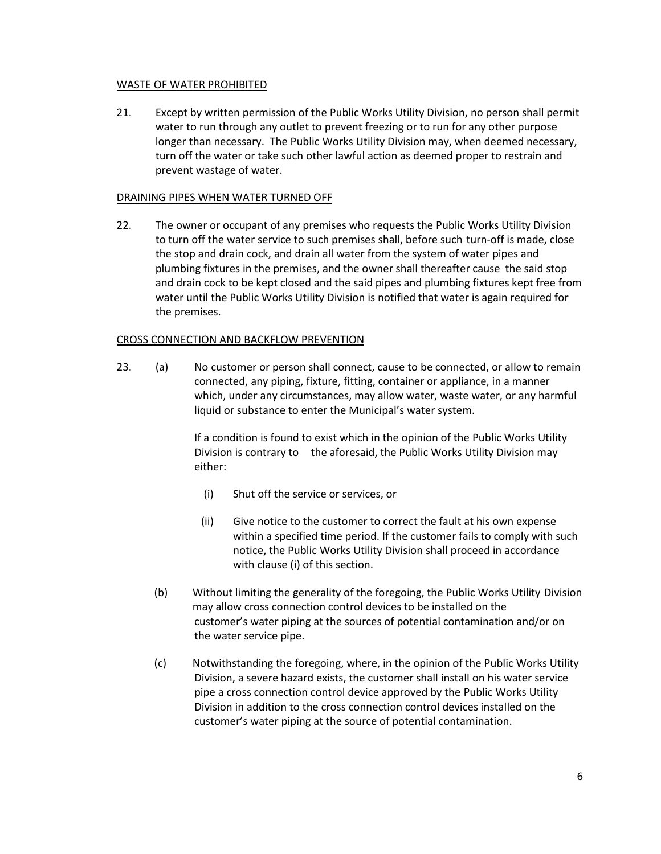# WASTE OF WATER PROHIBITED

21. Except by written permission of the Public Works Utility Division, no person shall permit water to run through any outlet to prevent freezing or to run for any other purpose longer than necessary. The Public Works Utility Division may, when deemed necessary, turn off the water or take such other lawful action as deemed proper to restrain and prevent wastage of water.

## DRAINING PIPES WHEN WATER TURNED OFF

22. The owner or occupant of any premises who requests the Public Works Utility Division to turn off the water service to such premises shall, before such turn-off is made, close the stop and drain cock, and drain all water from the system of water pipes and plumbing fixtures in the premises, and the owner shall thereafter cause the said stop and drain cock to be kept closed and the said pipes and plumbing fixtures kept free from water until the Public Works Utility Division is notified that water is again required for the premises.

### CROSS CONNECTION AND BACKFLOW PREVENTION

23. (a) No customer or person shall connect, cause to be connected, or allow to remain connected, any piping, fixture, fitting, container or appliance, in a manner which, under any circumstances, may allow water, waste water, or any harmful liquid or substance to enter the Municipal's water system.

> If a condition is found to exist which in the opinion of the Public Works Utility Division is contrary to the aforesaid, the Public Works Utility Division may either:

- (i) Shut off the service or services, or
- (ii) Give notice to the customer to correct the fault at his own expense within a specified time period. If the customer fails to comply with such notice, the Public Works Utility Division shall proceed in accordance with clause (i) of this section.
- (b) Without limiting the generality of the foregoing, the Public Works Utility Division may allow cross connection control devices to be installed on the customer's water piping at the sources of potential contamination and/or on the water service pipe.
- (c) Notwithstanding the foregoing, where, in the opinion of the Public Works Utility Division, a severe hazard exists, the customer shall install on his water service pipe a cross connection control device approved by the Public Works Utility Division in addition to the cross connection control devices installed on the customer's water piping at the source of potential contamination.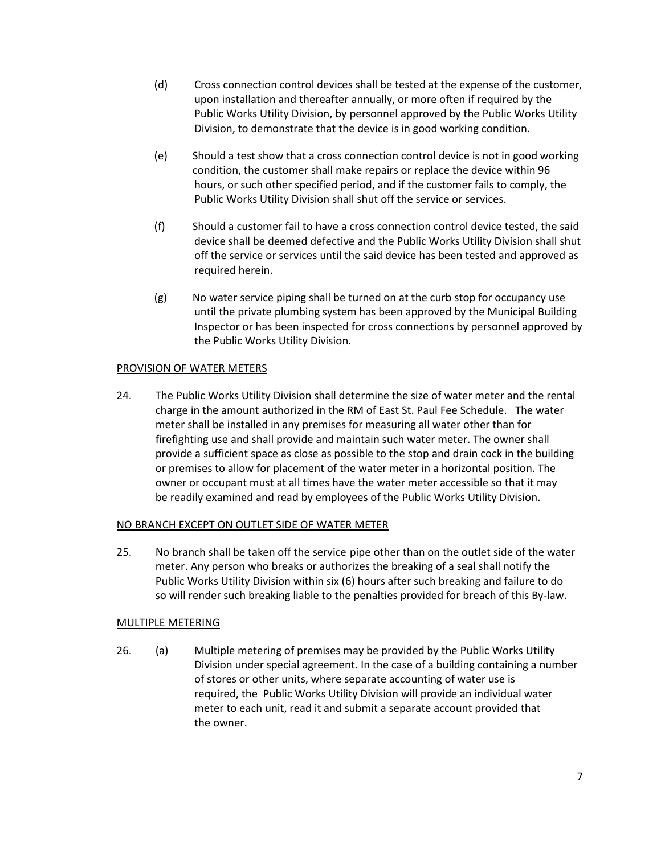- (d) Cross connection control devices shall be tested at the expense of the customer, upon installation and thereafter annually, or more often if required by the Public Works Utility Division, by personnel approved by the Public Works Utility Division, to demonstrate that the device is in good working condition.
- (e) Should a test show that a cross connection control device is not in good working condition, the customer shall make repairs or replace the device within 96 hours, or such other specified period, and if the customer fails to comply, the Public Works Utility Division shall shut off the service or services.
- (f) Should a customer fail to have a cross connection control device tested, the said device shall be deemed defective and the Public Works Utility Division shall shut off the service or services until the said device has been tested and approved as required herein.
- (g) No water service piping shall be turned on at the curb stop for occupancy use until the private plumbing system has been approved by the Municipal Building Inspector or has been inspected for cross connections by personnel approved by the Public Works Utility Division.

# PROVISION OF WATER METERS

24. The Public Works Utility Division shall determine the size of water meter and the rental charge in the amount authorized in the RM of East St. Paul Fee Schedule. The water meter shall be installed in any premises for measuring all water other than for firefighting use and shall provide and maintain such water meter. The owner shall provide a sufficient space as close as possible to the stop and drain cock in the building or premises to allow for placement of the water meter in a horizontal position. The owner or occupant must at all times have the water meter accessible so that it may be readily examined and read by employees of the Public Works Utility Division.

# NO BRANCH EXCEPT ON OUTLET SIDE OF WATER METER

25. No branch shall be taken off the service pipe other than on the outlet side of the water meter. Any person who breaks or authorizes the breaking of a seal shall notify the Public Works Utility Division within six (6) hours after such breaking and failure to do so will render such breaking liable to the penalties provided for breach of this By-law.

# MULTIPLE METERING

26. (a) Multiple metering of premises may be provided by the Public Works Utility Division under special agreement. In the case of a building containing a number of stores or other units, where separate accounting of water use is required, the Public Works Utility Division will provide an individual water meter to each unit, read it and submit a separate account provided that the owner.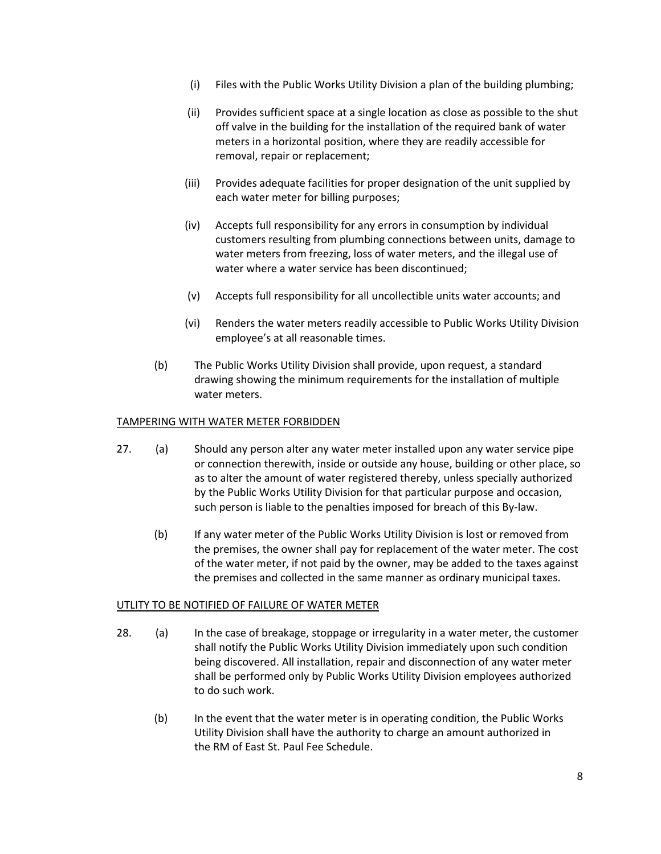- (i) Files with the Public Works Utility Division a plan of the building plumbing;
- (ii) Provides sufficient space at a single location as close as possible to the shut off valve in the building for the installation of the required bank of water meters in a horizontal position, where they are readily accessible for removal, repair or replacement;
- (iii) Provides adequate facilities for proper designation of the unit supplied by each water meter for billing purposes;
- (iv) Accepts full responsibility for any errors in consumption by individual customers resulting from plumbing connections between units, damage to water meters from freezing, loss of water meters, and the illegal use of water where a water service has been discontinued;
- (v) Accepts full responsibility for all uncollectible units water accounts; and
- (vi) Renders the water meters readily accessible to Public Works Utility Division employee's at all reasonable times.
- (b) The Public Works Utility Division shall provide, upon request, a standard drawing showing the minimum requirements for the installation of multiple water meters.

### TAMPERING WITH WATER METER FORBIDDEN

- 27. (a) Should any person alter any water meter installed upon any water service pipe or connection therewith, inside or outside any house, building or other place, so as to alter the amount of water registered thereby, unless specially authorized by the Public Works Utility Division for that particular purpose and occasion, such person is liable to the penalties imposed for breach of this By-law.
	- (b) If any water meter of the Public Works Utility Division is lost or removed from the premises, the owner shall pay for replacement of the water meter. The cost of the water meter, if not paid by the owner, may be added to the taxes against the premises and collected in the same manner as ordinary municipal taxes.

#### UTLITY TO BE NOTIFIED OF FAILURE OF WATER METER

- 28. (a) In the case of breakage, stoppage or irregularity in a water meter, the customer shall notify the Public Works Utility Division immediately upon such condition being discovered. All installation, repair and disconnection of any water meter shall be performed only by Public Works Utility Division employees authorized to do such work.
	- (b) In the event that the water meter is in operating condition, the Public Works Utility Division shall have the authority to charge an amount authorized in the RM of East St. Paul Fee Schedule.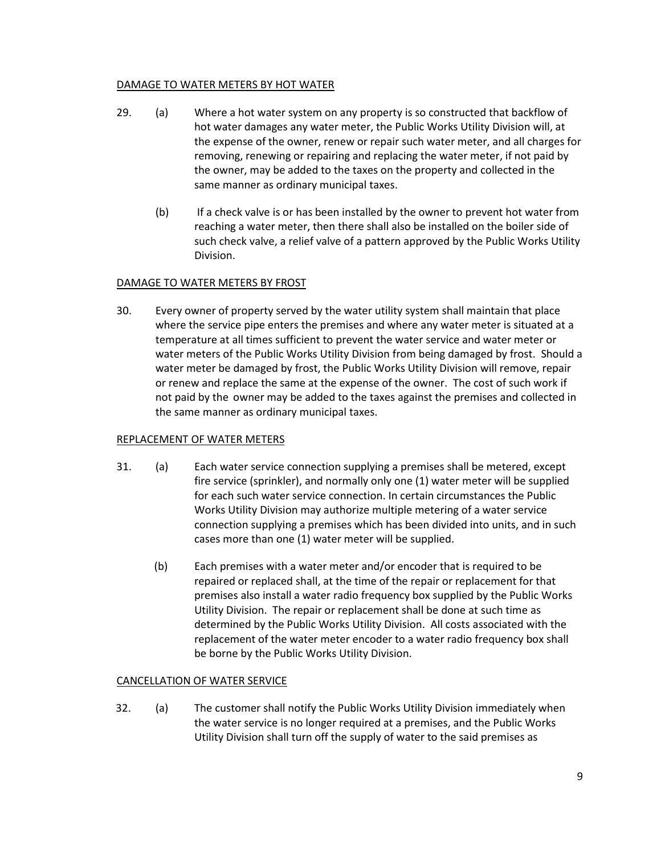# DAMAGE TO WATER METERS BY HOT WATER

- 29. (a) Where a hot water system on any property is so constructed that backflow of hot water damages any water meter, the Public Works Utility Division will, at the expense of the owner, renew or repair such water meter, and all charges for removing, renewing or repairing and replacing the water meter, if not paid by the owner, may be added to the taxes on the property and collected in the same manner as ordinary municipal taxes.
	- (b) If a check valve is or has been installed by the owner to prevent hot water from reaching a water meter, then there shall also be installed on the boiler side of such check valve, a relief valve of a pattern approved by the Public Works Utility Division.

# DAMAGE TO WATER METERS BY FROST

30. Every owner of property served by the water utility system shall maintain that place where the service pipe enters the premises and where any water meter is situated at a temperature at all times sufficient to prevent the water service and water meter or water meters of the Public Works Utility Division from being damaged by frost. Should a water meter be damaged by frost, the Public Works Utility Division will remove, repair or renew and replace the same at the expense of the owner. The cost of such work if not paid by the owner may be added to the taxes against the premises and collected in the same manner as ordinary municipal taxes.

# REPLACEMENT OF WATER METERS

- 31. (a) Each water service connection supplying a premises shall be metered, except fire service (sprinkler), and normally only one (1) water meter will be supplied for each such water service connection. In certain circumstances the Public Works Utility Division may authorize multiple metering of a water service connection supplying a premises which has been divided into units, and in such cases more than one (1) water meter will be supplied.
	- (b) Each premises with a water meter and/or encoder that is required to be repaired or replaced shall, at the time of the repair or replacement for that premises also install a water radio frequency box supplied by the Public Works Utility Division. The repair or replacement shall be done at such time as determined by the Public Works Utility Division. All costs associated with the replacement of the water meter encoder to a water radio frequency box shall be borne by the Public Works Utility Division.

# CANCELLATION OF WATER SERVICE

32. (a) The customer shall notify the Public Works Utility Division immediately when the water service is no longer required at a premises, and the Public Works Utility Division shall turn off the supply of water to the said premises as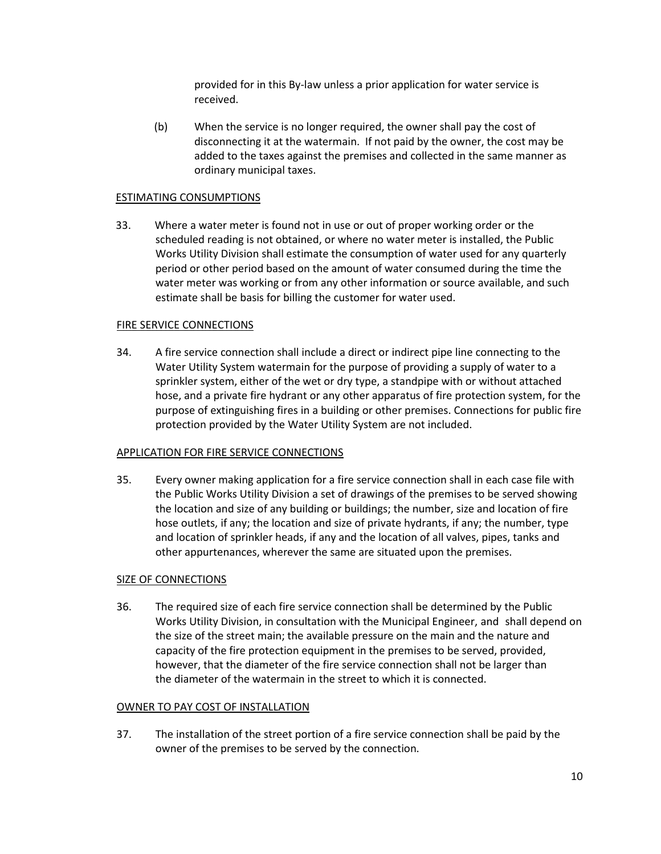provided for in this By-law unless a prior application for water service is received.

(b) When the service is no longer required, the owner shall pay the cost of disconnecting it at the watermain. If not paid by the owner, the cost may be added to the taxes against the premises and collected in the same manner as ordinary municipal taxes.

## ESTIMATING CONSUMPTIONS

33. Where a water meter is found not in use or out of proper working order or the scheduled reading is not obtained, or where no water meter is installed, the Public Works Utility Division shall estimate the consumption of water used for any quarterly period or other period based on the amount of water consumed during the time the water meter was working or from any other information or source available, and such estimate shall be basis for billing the customer for water used.

### FIRE SERVICE CONNECTIONS

34. A fire service connection shall include a direct or indirect pipe line connecting to the Water Utility System watermain for the purpose of providing a supply of water to a sprinkler system, either of the wet or dry type, a standpipe with or without attached hose, and a private fire hydrant or any other apparatus of fire protection system, for the purpose of extinguishing fires in a building or other premises. Connections for public fire protection provided by the Water Utility System are not included.

#### APPLICATION FOR FIRE SERVICE CONNECTIONS

35. Every owner making application for a fire service connection shall in each case file with the Public Works Utility Division a set of drawings of the premises to be served showing the location and size of any building or buildings; the number, size and location of fire hose outlets, if any; the location and size of private hydrants, if any; the number, type and location of sprinkler heads, if any and the location of all valves, pipes, tanks and other appurtenances, wherever the same are situated upon the premises.

# SIZE OF CONNECTIONS

36. The required size of each fire service connection shall be determined by the Public Works Utility Division, in consultation with the Municipal Engineer, and shall depend on the size of the street main; the available pressure on the main and the nature and capacity of the fire protection equipment in the premises to be served, provided, however, that the diameter of the fire service connection shall not be larger than the diameter of the watermain in the street to which it is connected.

#### OWNER TO PAY COST OF INSTALLATION

37. The installation of the street portion of a fire service connection shall be paid by the owner of the premises to be served by the connection.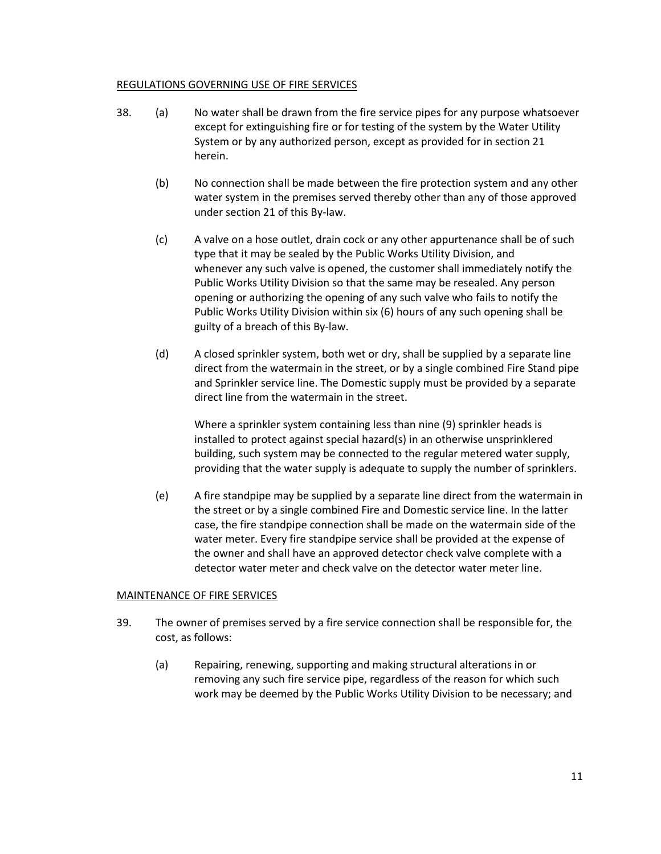### REGULATIONS GOVERNING USE OF FIRE SERVICES

- 38. (a) No water shall be drawn from the fire service pipes for any purpose whatsoever except for extinguishing fire or for testing of the system by the Water Utility System or by any authorized person, except as provided for in section 21 herein.
	- (b) No connection shall be made between the fire protection system and any other water system in the premises served thereby other than any of those approved under section 21 of this By-law.
	- (c) A valve on a hose outlet, drain cock or any other appurtenance shall be of such type that it may be sealed by the Public Works Utility Division, and whenever any such valve is opened, the customer shall immediately notify the Public Works Utility Division so that the same may be resealed. Any person opening or authorizing the opening of any such valve who fails to notify the Public Works Utility Division within six (6) hours of any such opening shall be guilty of a breach of this By-law.
	- (d) A closed sprinkler system, both wet or dry, shall be supplied by a separate line direct from the watermain in the street, or by a single combined Fire Stand pipe and Sprinkler service line. The Domestic supply must be provided by a separate direct line from the watermain in the street.

Where a sprinkler system containing less than nine (9) sprinkler heads is installed to protect against special hazard(s) in an otherwise unsprinklered building, such system may be connected to the regular metered water supply, providing that the water supply is adequate to supply the number of sprinklers.

(e) A fire standpipe may be supplied by a separate line direct from the watermain in the street or by a single combined Fire and Domestic service line. In the latter case, the fire standpipe connection shall be made on the watermain side of the water meter. Every fire standpipe service shall be provided at the expense of the owner and shall have an approved detector check valve complete with a detector water meter and check valve on the detector water meter line.

# MAINTENANCE OF FIRE SERVICES

- 39. The owner of premises served by a fire service connection shall be responsible for, the cost, as follows:
	- (a) Repairing, renewing, supporting and making structural alterations in or removing any such fire service pipe, regardless of the reason for which such work may be deemed by the Public Works Utility Division to be necessary; and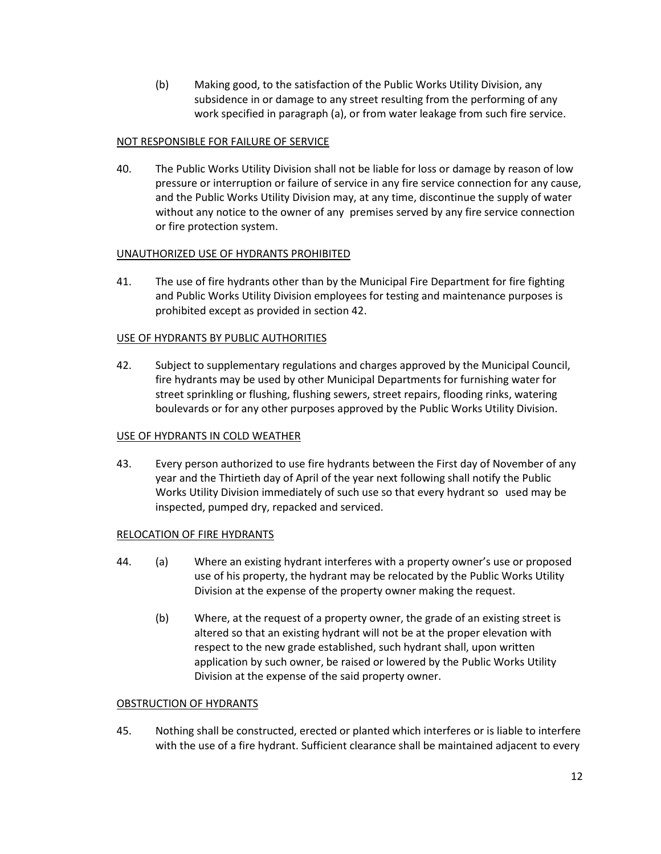(b) Making good, to the satisfaction of the Public Works Utility Division, any subsidence in or damage to any street resulting from the performing of any work specified in paragraph (a), or from water leakage from such fire service.

# NOT RESPONSIBLE FOR FAILURE OF SERVICE

40. The Public Works Utility Division shall not be liable for loss or damage by reason of low pressure or interruption or failure of service in any fire service connection for any cause, and the Public Works Utility Division may, at any time, discontinue the supply of water without any notice to the owner of any premises served by any fire service connection or fire protection system.

# UNAUTHORIZED USE OF HYDRANTS PROHIBITED

41. The use of fire hydrants other than by the Municipal Fire Department for fire fighting and Public Works Utility Division employees for testing and maintenance purposes is prohibited except as provided in section 42.

# USE OF HYDRANTS BY PUBLIC AUTHORITIES

42. Subject to supplementary regulations and charges approved by the Municipal Council, fire hydrants may be used by other Municipal Departments for furnishing water for street sprinkling or flushing, flushing sewers, street repairs, flooding rinks, watering boulevards or for any other purposes approved by the Public Works Utility Division.

# USE OF HYDRANTS IN COLD WEATHER

43. Every person authorized to use fire hydrants between the First day of November of any year and the Thirtieth day of April of the year next following shall notify the Public Works Utility Division immediately of such use so that every hydrant so used may be inspected, pumped dry, repacked and serviced.

# RELOCATION OF FIRE HYDRANTS

- 44. (a) Where an existing hydrant interferes with a property owner's use or proposed use of his property, the hydrant may be relocated by the Public Works Utility Division at the expense of the property owner making the request.
	- (b) Where, at the request of a property owner, the grade of an existing street is altered so that an existing hydrant will not be at the proper elevation with respect to the new grade established, such hydrant shall, upon written application by such owner, be raised or lowered by the Public Works Utility Division at the expense of the said property owner.

# OBSTRUCTION OF HYDRANTS

45. Nothing shall be constructed, erected or planted which interferes or is liable to interfere with the use of a fire hydrant. Sufficient clearance shall be maintained adjacent to every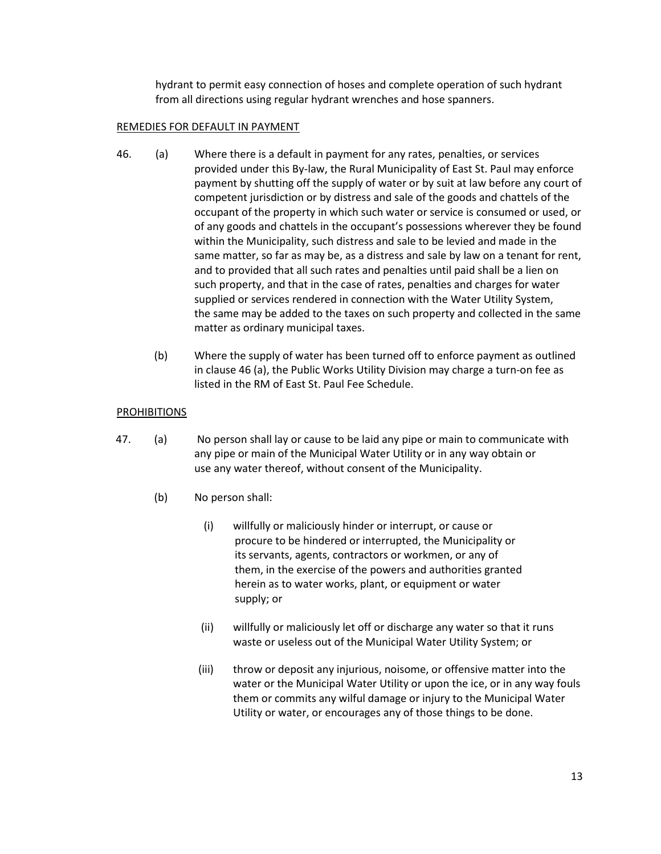hydrant to permit easy connection of hoses and complete operation of such hydrant from all directions using regular hydrant wrenches and hose spanners.

# REMEDIES FOR DEFAULT IN PAYMENT

- 46. (a) Where there is a default in payment for any rates, penalties, or services provided under this By-law, the Rural Municipality of East St. Paul may enforce payment by shutting off the supply of water or by suit at law before any court of competent jurisdiction or by distress and sale of the goods and chattels of the occupant of the property in which such water or service is consumed or used, or of any goods and chattels in the occupant's possessions wherever they be found within the Municipality, such distress and sale to be levied and made in the same matter, so far as may be, as a distress and sale by law on a tenant for rent, and to provided that all such rates and penalties until paid shall be a lien on such property, and that in the case of rates, penalties and charges for water supplied or services rendered in connection with the Water Utility System, the same may be added to the taxes on such property and collected in the same matter as ordinary municipal taxes.
	- (b) Where the supply of water has been turned off to enforce payment as outlined in clause 46 (a), the Public Works Utility Division may charge a turn-on fee as listed in the RM of East St. Paul Fee Schedule.

# **PROHIBITIONS**

- 47. (a) No person shall lay or cause to be laid any pipe or main to communicate with any pipe or main of the Municipal Water Utility or in any way obtain or use any water thereof, without consent of the Municipality.
	- (b) No person shall:
		- (i) willfully or maliciously hinder or interrupt, or cause or procure to be hindered or interrupted, the Municipality or its servants, agents, contractors or workmen, or any of them, in the exercise of the powers and authorities granted herein as to water works, plant, or equipment or water supply; or
		- (ii) willfully or maliciously let off or discharge any water so that it runs waste or useless out of the Municipal Water Utility System; or
		- (iii) throw or deposit any injurious, noisome, or offensive matter into the water or the Municipal Water Utility or upon the ice, or in any way fouls them or commits any wilful damage or injury to the Municipal Water Utility or water, or encourages any of those things to be done.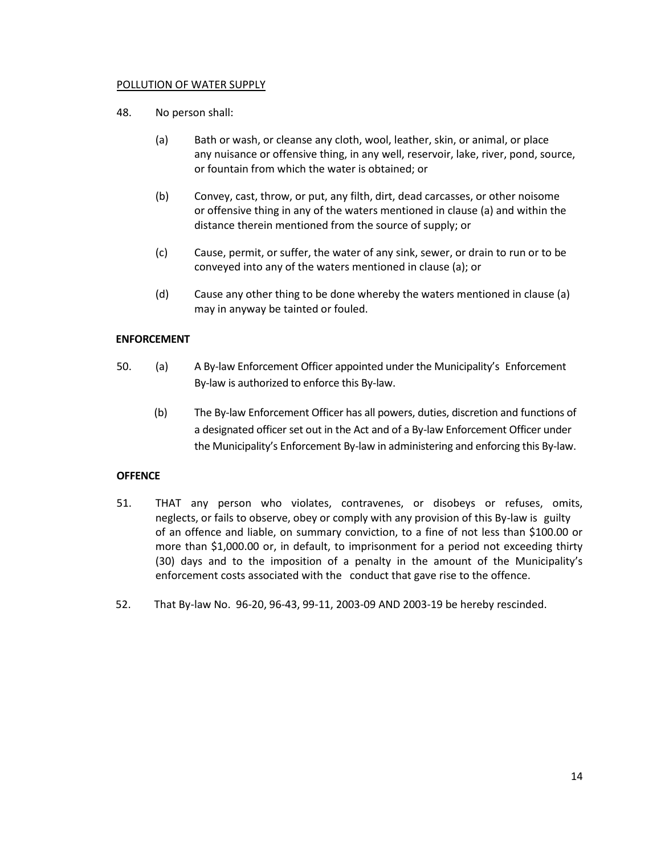### POLLUTION OF WATER SUPPLY

- 48. No person shall:
	- (a) Bath or wash, or cleanse any cloth, wool, leather, skin, or animal, or place any nuisance or offensive thing, in any well, reservoir, lake, river, pond, source, or fountain from which the water is obtained; or
	- (b) Convey, cast, throw, or put, any filth, dirt, dead carcasses, or other noisome or offensive thing in any of the waters mentioned in clause (a) and within the distance therein mentioned from the source of supply; or
	- (c) Cause, permit, or suffer, the water of any sink, sewer, or drain to run or to be conveyed into any of the waters mentioned in clause (a); or
	- (d) Cause any other thing to be done whereby the waters mentioned in clause (a) may in anyway be tainted or fouled.

# **ENFORCEMENT**

- 50. (a) A By-law Enforcement Officer appointed under the Municipality's Enforcement By-law is authorized to enforce this By-law.
	- (b) The By-law Enforcement Officer has all powers, duties, discretion and functions of a designated officer set out in the Act and of a By-law Enforcement Officer under the Municipality's Enforcement By-law in administering and enforcing this By-law.

#### **OFFENCE**

- 51. THAT any person who violates, contravenes, or disobeys or refuses, omits, neglects, or fails to observe, obey or comply with any provision of this By-law is guilty of an offence and liable, on summary conviction, to a fine of not less than \$100.00 or more than \$1,000.00 or, in default, to imprisonment for a period not exceeding thirty (30) days and to the imposition of a penalty in the amount of the Municipality's enforcement costs associated with the conduct that gave rise to the offence.
- 52. That By-law No. 96-20, 96-43, 99-11, 2003-09 AND 2003-19 be hereby rescinded.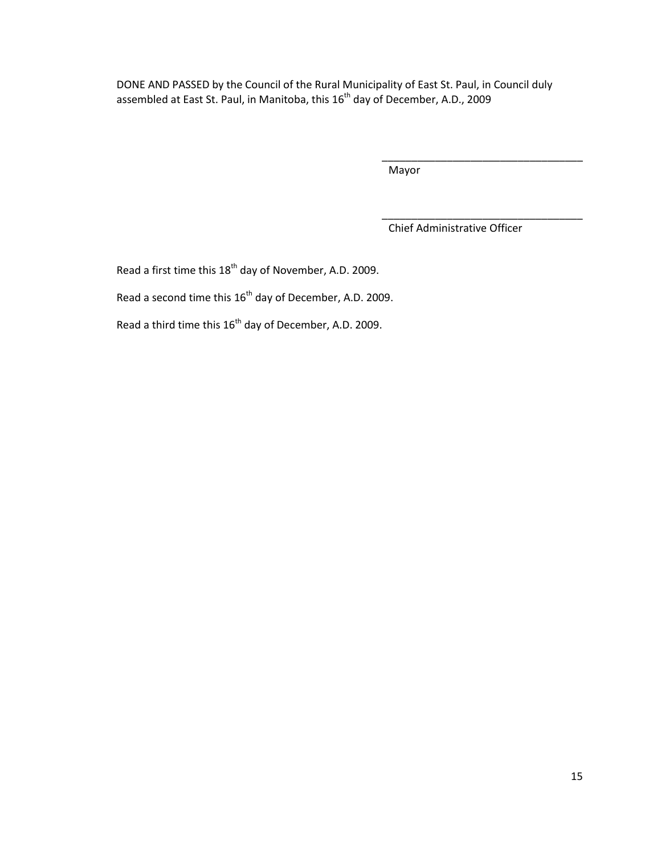DONE AND PASSED by the Council of the Rural Municipality of East St. Paul, in Council duly assembled at East St. Paul, in Manitoba, this  $16^{\text{th}}$  day of December, A.D., 2009

Mayor

Chief Administrative Officer

\_\_\_\_\_\_\_\_\_\_\_\_\_\_\_\_\_\_\_\_\_\_\_\_\_\_\_\_\_\_\_\_\_\_

\_\_\_\_\_\_\_\_\_\_\_\_\_\_\_\_\_\_\_\_\_\_\_\_\_\_\_\_\_\_\_\_\_\_

Read a first time this 18<sup>th</sup> day of November, A.D. 2009.

Read a second time this  $16^{th}$  day of December, A.D. 2009.

Read a third time this 16<sup>th</sup> day of December, A.D. 2009.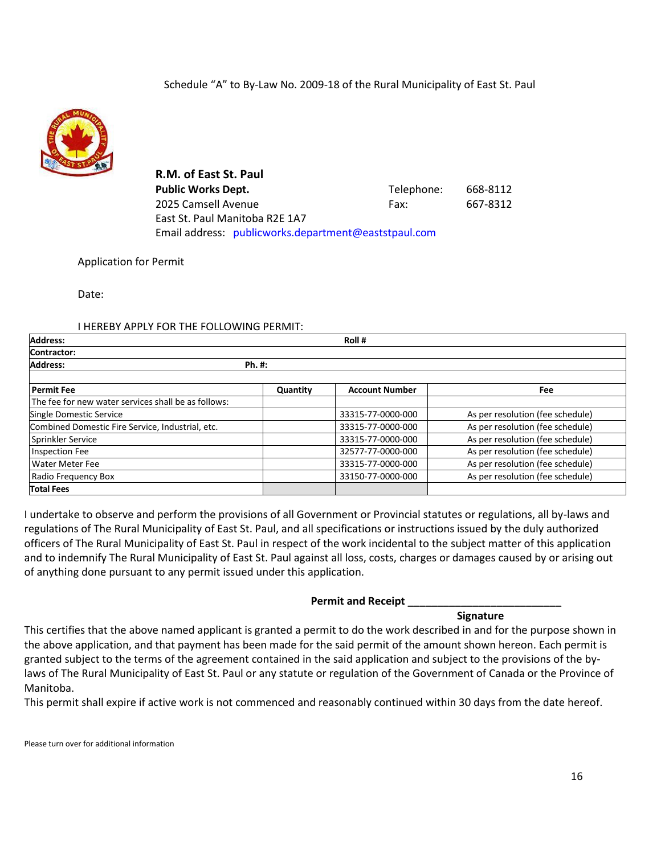

**R.M. of East St. Paul** Public Works Dept. **Telephone:** 668-8112 2025 Camsell Avenue Fax: 667-8312 East St. Paul Manitoba R2E 1A7 Email address: [publicworks.department@eaststpaul.com](mailto:publicworks.department@eaststpaul.com)

### Application for Permit

Date:

#### I HEREBY APPLY FOR THE FOLLOWING PERMIT:

| <b>Address:</b>                                     |          | Roll#                 |                                  |
|-----------------------------------------------------|----------|-----------------------|----------------------------------|
| Contractor:                                         |          |                       |                                  |
| <b>Address:</b>                                     | Ph. #:   |                       |                                  |
| <b>Permit Fee</b>                                   |          | <b>Account Number</b> |                                  |
|                                                     | Quantity |                       | Fee                              |
| The fee for new water services shall be as follows: |          |                       |                                  |
| Single Domestic Service                             |          | 33315-77-0000-000     | As per resolution (fee schedule) |
| Combined Domestic Fire Service, Industrial, etc.    |          | 33315-77-0000-000     | As per resolution (fee schedule) |
| Sprinkler Service                                   |          | 33315-77-0000-000     | As per resolution (fee schedule) |
| <b>Inspection Fee</b>                               |          | 32577-77-0000-000     | As per resolution (fee schedule) |
| Water Meter Fee                                     |          | 33315-77-0000-000     | As per resolution (fee schedule) |
| Radio Frequency Box                                 |          | 33150-77-0000-000     | As per resolution (fee schedule) |
| <b>Total Fees</b>                                   |          |                       |                                  |

I undertake to observe and perform the provisions of all Government or Provincial statutes or regulations, all by-laws and regulations of The Rural Municipality of East St. Paul, and all specifications or instructions issued by the duly authorized officers of The Rural Municipality of East St. Paul in respect of the work incidental to the subject matter of this application and to indemnify The Rural Municipality of East St. Paul against all loss, costs, charges or damages caused by or arising out of anything done pursuant to any permit issued under this application.

#### **Permit and Receipt \_\_\_\_\_\_\_\_\_\_\_\_\_\_\_\_\_\_\_\_\_\_\_\_\_\_**

#### **Signature**

This certifies that the above named applicant is granted a permit to do the work described in and for the purpose shown in the above application, and that payment has been made for the said permit of the amount shown hereon. Each permit is granted subject to the terms of the agreement contained in the said application and subject to the provisions of the bylaws of The Rural Municipality of East St. Paul or any statute or regulation of the Government of Canada or the Province of Manitoba.

This permit shall expire if active work is not commenced and reasonably continued within 30 days from the date hereof.